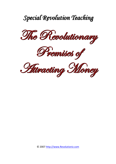

*Special Revolution Teaching*

© 2007 http://www.Revolutioniz.com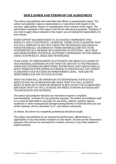### **DISCLAIMER AND TERMS OF USE AGREEMENT**

The author and publisher have used their best efforts in preparing this report. The author and publisher make no representation or warranties with respect to the accuracy, applicability, fitness, or completeness of the contents of this report. The information contained in this report is strictly for educational purposes. Therefore, if you wish to apply ideas contained in this report, you are taking full responsibility for your actions.

EVERY EFFORT HAS BEEN MADE TO ACCURATELY REPRESENT THIS PRODUCT AND IT'S POTENTIAL. HOWEVER, THERE IS NO GUARANTEE THAT YOU WILL IMPROVE IN ANY WAY USING THE TECHNIQUES AND IDEAS IN THESE MATERIALS. EXAMPLES IN THESE MATERIALS ARE NOT TO BE INTERPRETED AS A PROMISE OR GUARANTEE OF ANYTHING. SELF-HELP AND IMPROVEMENT POTENTIAL IS ENTIRELY DEPENDENT ON THE PERSON USING OUR PRODUCT, IDEAS AND TECHNIQUES.

YOUR LEVEL OF IMPROVEMENT IN ATTAINING THE RESULTS CLAIMED IN OUR MATERIALS DEPENDS ON THE TIME YOU DEVOTE TO THE PROGRAM, IDEAS AND TECHNIQUES MENTIONED, KNOWLEDGE AND VARIOUS SKILLS. SINCE THESE FACTORS DIFFER ACCORDING TO INDIVIDUALS, WE CANNOT GUARANTEE YOUR SUCCESS OR IMPROVEMENT LEVEL. NOR ARE WE RESPONSIBLE FOR ANY OF YOUR ACTIONS.

MANY FACTORS WILL BE IMPORTANT IN DETERMINING YOUR ACTUAL RESULTS AND NO GUARANTEES ARE MADE THAT YOU WILL ACHIEVE RESULTS SIMILAR TO OURS OR ANYBODY ELSE'S, IN FACT NO GUARANTEES ARE MADE THAT YOU WILL ACHIEVE ANY RESULTS FROM OUR IDEAS AND TECHNIQUES IN OUR MATERIAL.

The author and publisher disclaim any warranties (express or implied), merchantability, or fitness for any particular purpose. The author and publisher shall in no event be held liable to any party for any direct, indirect, punitive, special, incidental or other consequential damages arising directly or indirectly from any use of this material, which is provided "as is", and without warranties.

As always, the advice of a competent professional should be sought.

The author and publisher do not warrant the performance, effectiveness or applicability of any sites listed or linked to in this report. All links are for information purposes only and are not warranted for content, accuracy or any other implied or explicit purpose.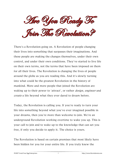Meady To Joim The Revolution?

There's a Revolution going on. A Revolution of people changing their lives into something that surpasses their imaginations. And these people are making the changes themselves, under their own control, and under their own conditions. They've started to live life on their own terms, not the terms that have been imposed on them for all their lives. The Revolution is changing the lives of people around the globe as you are reading this. And it's slowly turning into what could be the greatest Revolution in the history of mankind. More and more people that joined the Revolution are waking up to their power to 'attract', or rather *design, engineer* and create a life beyond what they ever dared to dream before.

Today, the Revolution is calling you. If you're ready to turn your life into something beyond what you've ever imagined possible in your dreams, then you're more than welcome to join. We're an underground Revolution working overtime to wake you up. This is your call to join and to wake up to the knowledge that can set you free, if only you decide to apply it. The choice is yours.

The Revolution is based on certain premises that most likely have been hidden for you for your entire life. If you truly knew the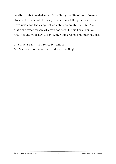details of this knowledge, you'd be living the life of your dreams already. If that's not the case, then you need the premises of the Revolution and their application details to create that life. And that's the exact reason why you got here. In this book, you've finally found your key to achieving your dreams and imaginations.

The time is right. You're ready. This is it. Don't waste another second, and start reading!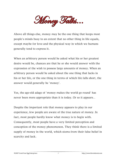Money Talks.

Above all things else, money may be the one thing that keeps most people's minds busy to an extent that no other thing in life equals, except maybe for love and the physical way in which we humans generally tend to express it.

When an arbitrary person would be asked what his or her greatest desire would be, chances are that he or she would answer with the expression of the wish to possess large amounts of money. When an arbitrary person would be asked about the one thing that lacks in his or her life, or the one thing in terms of which life falls short, the answer would generally be 'money'.

Yes, the age-old adage of 'money makes the world go round' has never been more appropriate than it is today. Or so it appears*…*

Despite the important role that money appears to play in our experience, few people are aware of the true nature of money. In fact, most people hardly know what money is to begin with. Consequently, most people have a very limited perception and conception of the money phenomenon. They think there is a limited supply of money in the world, which stems from their false belief in scarcity and lack.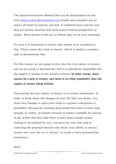The Special Revolution Manual that can be downloaded for free from http://www.Revolutioniz.com briefly and concisely put an end to all belief in scarcity and lack. It explained how scarcity and lack are merely illusions that stem from a limited perspective of reality. More details of this are to follow later on in your teachings.

For now it is important to realize that money is no exception to this. There cannot be a lack of money. And it is hardly a complex task to demonstrate this.

For this reason, we are going to dive into the true nature of money, and we are going to demonstrate that it is *absolutely impossible* that the supply of money in the world is limited. In other words, there cannot be a lack of money, and there is no other possibility than the supply of money being infinite.

Discovering the true nature of money is of utmost importance. In order to bring about the changes in your life that you desire, you must first manage to open your mind to a greater conception of possibility. Because by realizing deep inside that there is more than enough, or rather, an infinite amount of money available for anyone in the world, and thus that there is more than enough money waiting to be grabbed by you, you have set your first step in removing the potential barriers that block your ability to attract money into your life, or to 'attract' or create a more profound life experience..

Why?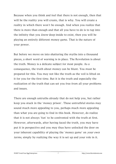Because when you think and feel that there is not enough, then that will be the reality you will create, that is why. You will create a reality in which there won't be enough. And when you realize that there is more than enough and that all you have to do is to tap into the infinity that you *know* deep inside to exist, then you will be playing an entirely different money game. That is the nature of your power.

But before we move on into shattering the myths into a thousand pieces, a short word of warning is in place. The Revolution is about the truth. Money is a delicate subject for most people. As a consequence, the truth about money can be blunt. You must be prepared for this. You may not like the truth as the veil is lifted on it for you for the first time. But it is the truth and especially the realization of the truth that can set you free from all your problems and issues.

There are enough untruths already that do not help you, but rather keep you stuck in the 'money prison'. These untruthful stories may sound much more appealing to you, perhaps much more appealing than what you are going to find in this book. However, do realize that it is not always 'fun' to be confronted with the truth at first. However, afterwards, after having faced the truth, you may have put it in perspective and you may thus have unlocked the door on your inherent capability of playing the 'money game' on *your own* terms, simply by realizing the way it is set up and your role in it.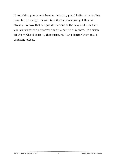If you think you cannot handle the truth, you'd better stop reading now. But you might as well face it now, since you got this far already. So now that we got all that out of the way and now that you are prepared to discover the true nature of money, let's crush all the myths of scarcity that surround it and shatter them into a thousand pieces.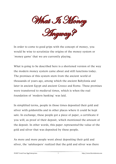

In order to come to good grips with the concept of money, you would be wise to scrutinize the origins of the money system or 'money game' that we are currently playing.

What is going to be described here is a shortened version of the way the modern money system came about and still functions today. The premises of this system stem from the ancient world of thousands of years ago, among which the ancient Babylonia and later in ancient Egypt and ancient Greece and Rome. These premises were transferred to medieval times, which is when the real foundation of 'modern banking' was laid.

In simplified terms, people in those times deposited their gold and silver with goldsmiths and in other places where it could be kept safe. In exchange, these people got a piece of paper, a certificate if you will, as proof of their deposit, which mentioned the amount of the deposit. In other words, this paper represented the value of the gold and silver that was deposited by these people.

As more and more people went about depositing their gold and silver, the 'safekeepers' realized that the gold and silver was there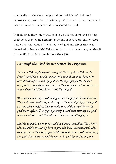practically all the time. People did not 'withdraw' their gold deposits very often. So the 'safekeepers' discovered that they could issue more of the papers that represented the gold.

In fact, since they knew that people would not come and pick up their gold, they could actually issue out papers representing *more* value than the value of the amount of gold and silver that was deposited to begin with! Take note that that is akin to saying that if I have \$10, I can lend much more than \$10!

*Let's clarify this. Think this over, because this is important.* 

*Let's say 100 people deposit their gold. Each of these 100 people deposits gold for a weight amount of 2 pounds. So in exchange for their deposit of 2 pounds of gold, all these people got their paper certificate representing this value. In the meantime, in total there was now a deposit of 100*  $x$  *2 lbs. = 200 lbs. of gold.* 

*Most people who deposited their gold were happy with this situation. They had their certificate, so they knew they could pick up their gold anytime they needed it. They thought they might as well leave the gold there. After all, why give yourself a hard time carrying the gold with you all the time? It's safe over there, so everything's fine.* 

*And for example, when they would go buying something, like a horse, they wouldn't necessarily have to give the horse salesman gold. They could just give them the paper certificate that represented the value of the gold. The salesman could then go to the gold deposit ('bank') and*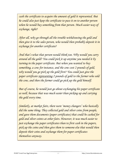*cash the certificate to acquire the amount of gold it represented. But he could also just keep the certificate to pass it on to another person when he would buy something from that person. Much easier way of exchange, right?* 

*After all, why go through all the trouble withdrawing the gold and then give it to the sales person, who would then probably deposit it in exchange for another certificate?* 

*And that's what that person would think too. Why would you carry around all the gold? You could pick it up anytime you needed it by turning in the paper certificate. But when you wanted to buy something, a cow for instance, and the cow cost 2 pounds of gold, why would you go pick up the gold first? You could just give the paper certificate representing 2 pounds of gold to the farmer who sold the cow, and then the farmer could go pick up the gold himself.* 

*But of course, he would just go about exchanging his paper certificate as well, because that was much easier than picking up and carrying the gold every time.* 

*Similarly, at market fairs, there were 'money changers' who basically did the same thing. They collected gold and silver coins from people, and gave them documents (paper certificates) that could be cashed for gold and silver coints at other fairs. However, it was much easier to just exchange the paper certificates than to first cash in the papers, pick up the coins and then give them to someone else that would then deposit their coins and exchange them for paper certificates themselves anyway.*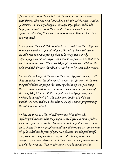*So, the point is that the majority of the gold or coins were never withdrawn. They just kept lying there with the 'safekeepers', such as goldsmiths and money changers. Consequently, after a while the 'safekeepers' realized that they could set up a scheme to provide against a rainy day, if not much more than that. Here's what they came up with…* 

*For example, they had 200 lbs. of gold deposited from the 100 people that each deposited 2 pounds of gold. But 90 of those 100 people would never come and pick up their gold. They just went by exchanging their paper certificates, because they considered that to be much more convenient. The other 10 people sometimes withdrew their gold, probably because they liked to touch it or for some other reason.* 

*But here's the kicker of the scheme these 'safekeepers' came up with. Because what does this all mean? It means that for most of the time, the gold of those 90 people that never picked it up was just lying there. It wasn't withdrawn, not once. This means that for most of the time, 90*  $\times$  *2 lbs. = 180 lbs. of gold was just lying there, and nothing happened with it. The other mere 20 lbs. of gold were withdrawn now and then, but that was only a minor proportion of the total amount of gold.* 

*So because those 180 lbs. of gold were just lying there, the 'safekeepers' realized that they might as well give out more of those paper certificates to people who were in need of gold but were short on it. Basically, these 'people in need' would borrow a certain amount of 'gold value' in the form of paper certificates (not the gold itself). They could then pay whatever they intended to buy with their certificate, and the salesman could then come and pick up the amount of gold that was specified on the paper when he would need it*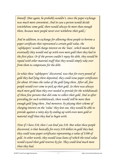*himself. (But again, he probably wouldn't, since the paper exchange was much more convenient. And in case a person would decide towithdraw some gold, there would always be more than enough there, because most people never ever withdrew their gold.)* 

*And in addition, in exchange for allowing those people to borrow a paper certificate that represented a certain gold value, the 'safekeepers' would charge interest on the 'loan', which meant that eventually they would end up with even more gold than they had in the first place. Or if the person couldn't repay his debt, they would be repaid with other material stuff that they would simply take over from them to compensate for the debt.* 

*So what these 'safekeepers' discovered, was that for every pound of gold they had lying there deposited, they could issue paper certificates for about 10 times the value of the gold lying there. After all, few people would ever come to pick up their gold. So there was always much more gold than they ever needed to provide for the withdrawals of those few persons that did come to collect their gold. And so after providing for such withdrawals, there would still be more than enough gold lying there. And moreover, by playing their scheme of charging interest on the 'value' they lent out, they would be able to provide against a rainy day by ending up with even more gold or material stuff than they had to begin with.* 

*Now if I have \$10, then I can lend you \$10. But what these people discovered, is that basically for every \$10 dollars in gold they had, they could issue paper certificates representing a value of \$100 of gold. In other words, they would issue loans of which the total value would exceed their gold reserves by far. They could lend much more than they had.*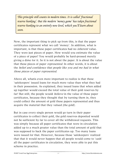*This principle still counts in modern times. It is called 'fractional reserve banking'. But the modern 'money game' has taken fractional reserve banking to an entirely new level, which you'll learn about soon.* 

Now, the important thing to pick up from this, is that the paper certificates represent what we call 'money'. In addition, what is important, is that these paper certificates had no *inherent* value. They were just pieces of paper. How would you estimate the value of a piece of paper? You would probably be hard-pressed merely giving a dime for it. So it is not about the paper. It is about the value that these pieces of paper *represented*. In other words, it is about the belief and confidence that people like you and me had in what those pieces of paper represented.

Above all, whatis even more important to realize is that these 'safekeepers' issued loans for much more value than what they had in their possession. As explained, they issued loans that when added up together would exceed the total value of their gold reserves by far! But still, the people would *believe* in the value of those paper certificates, because they thought that by turning them in, they could collect the amount of gold these papers represented and thus acquire the material that they valued (the gold).

But in case every single person would go turn in their paper certificates to collect their gold, the gold reserves deposited would not be sufficient by far to cover all the withdrawal requests. This was simply because all paper certificates that were in circulation added up to a much greater value than the total amount of gold that was supposed to back the paper certificates up. Too many loans were issued for that. However, because those 'safekeepers' realized that that it would never happen that all people would come to 'cash' all the paper certificates in circulation, they were able to put this scheme in practice.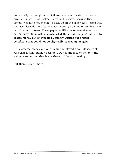So basically, although most of these paper certificates that were in circulation were not backed up by gold reserves because there simply was not enough gold to back up all the paper certificates that had been issued, these 'safekeepers' could go on and on issuing paper certificates for loans. These paper certificates represent what we call 'money'. So in other words, what these 'safekeepers' did, was to create money out of thin air by simply writing out a paper certificate that could not be physically backed up by gold.

They created money out of thin air and played a confidence trick. And that is what money became*…* Our confidence or belief in the value of something that is not there in 'physical' reality.

But there is even more*…*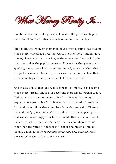Mhat Money Really A.

'Fractional reserve banking', as explained in the previous chapter, has been taken to an entirely new level in our modern days.

First of all, the whole phenomenon of the 'money game' has become much more widespread over the years. In other words, much more 'money' has come in circulation, as the whole world started playing the game and as the population grew. This means that generally speaking, many more loans have been issued, exceeding the value of the gold in existence to even greater extents than in the days that the scheme began, simply because of the scale increase.

And in addition to that, the whole concept of 'money' has become much more virtual, and is still becoming increasingly virtual today. Today, we are often not even paying for things with 'money' anymore. We are paying for things with 'virtual credits'. We have financial transactions that take place fully electronically. There is less and less 'physical money' involved. So what is happening, is that we are increasingly transferring credits that we cannot touch physically, which represent 'money' that has no inherent value other than the value of the pieces of paper and pieces of metal (coins), which actually represents something that does not really exist in 'physical reality' to begin with!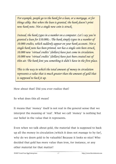*For example, people go to the bank for a loan, or a mortgage, or for things alike. But when the loan is granted, the bank doesn't print new bank note. Not a single new coin is struck.* 

*Instead, the bank types in a number on a computer. Let's say you're granted a loan for \$10.000,-. The bank simply types in a number of 10.000 credits, which suddenly appear on your bank account. Not a single bank note has been printed, nor has a single coin been struck. 10.000 new 'virtual credits' (dollars) have just come in circulation. 10.000 new 'virtual credits' (dollars) have just been created out of thin air. The bank lent you something it didn't have in the first place.* 

*This is the way in which the total amount of money in circulation represents a value that is much greater than the amount of gold that is supposed to back it up.* 

How about that? Did you ever realize that?

So what does this all mean?

It means that 'money' itself is not real in the general sense that we interpret the meaning of 'real'. What we call 'money' is nothing but our belief in the value that it represents.

Even when we talk about gold, the material that is supposed to back up all the money in circulation (which it does not manage to by far), why do we deem gold to be valuable? Because it looks so nice? Who decided that gold has more value than iron, for instance, or any other material for that matter?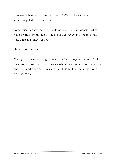You see, it is strictly a matter of our *belief* in the value of something that does the trick.

So because 'money' or 'credits' do not exist but are considered to have a value simply due to the collective *belief* of us people that it has, what is money really?

Here is your answer*…*

Money is a form of energy. It is a *belief*, a *feeling*, an *energy*. And once you realize that, it requires a whole new and different angle of approach and treatment in your life. This will be the subject of the next chapter.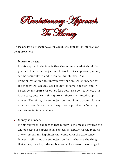Revolutionary Approach **Te Money** 

There are two different ways in which the concept of 'money' can be approached:

### Money as an end:

In this approach, the idea is that that money is what should be pursued. It's the end objective of effort. In this approach, money can be accumulated and it can be immobilized. And immobilization implies uneven distribution, which means that the money will accumulate heavier for some (the rich) and will be scarce and sparse for others (the poor) as a consequence. This is the case, because in this approach there is a limited supply of money. Therefore, the end objective should be to accumulate as much as possible, as this will supposedly provide for 'security' and 'financial independence'.

#### Money as a means:

In this approach, the idea is that money is the means towards the end objective of experiencing something, simply for the feelings of excitement and happiness that come with the experience. Money itself is not the end objective, but rather are the things that money can buy. Money is merely the means of exchange in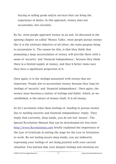buying or selling goods and/or services that can bring the experience of desire. In this approach, money does not accumulate, but circulate.

By far, most people approach money as an end. As discussed in the opening chapter on called 'Money Talks', most people pursue money like it is the ultimate objective of all effort, the main purpose being to accumulate it. The reason for this, is that they think that possessing a large accumulation of money will provide them with a sense of 'security' and 'financial independence', because they think there is a limited supply of money, and they'd better make sure they have a significant proportion of it.

Once again, it is the feelings associated with money that are important. People aim to accumulate money because they long for feelings of 'security' and 'financial independence'. Once again, the money issue becomes a matter of feelings and belief, which, as we established, is the nature of money itself. It is all energy.

So let's scrutinize what these feelings of 'needing to pursue money due to needing security and financial independence' imply. They imply that currently, deep inside, you do not feel 'secure'. The Special Revolution Manual that can be downloaded for free from http://www.Revolutioniz.com briefly explained the importance of the Law of Gratitude in setting the stage for the Law of Attraction to work. By not feeling secure deep inside, you are indirectly expressing your feelings of not being grateful with your current situation. You learned that your deepest feelings and emotions are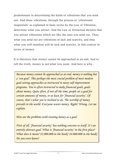predominant in determining the kinds of vibrations that you send out. And these vibrations, through the process of 'vibrational magnetism' as explained in basic terms by the Law of Vibration, determine what you attract .And the Law of Attraction dictates that you attract vibrations which are like the ones you send out. Thus, what you send out are vibrations of lack and scarcity, and thus what you will manifest will be lack and scarcity, in this context in terms of money.

It is therefore that money cannot be approached as an end. And to tell the truth, money is not what you want. And here is why*…*

*Because money cannot be approached as an end, money is nothing but a 'con goal'. This perhaps the most crucial problem of most modern goal-setting approaches as instructed in many self-improvement programs. You're often instructed to make financial goals, goals about money. Quite often, if not all the time, people set a goal for certain amounts of money, or at least for 'financial security'. Of course, that's what you're inclined to do. The worship of money prevails in the world. Everyone wants money. Right? Wrong. Let me explain.* 

*Here are the problems with treating money as a goal.* 

*First of all, 'financial security' has nothing concrete to itself. It's an entirely abstract goal. What is 'financial security' in the first place? What does it mean? \$2.000.000 in the bank? \$4.000.000 in the bank? Do you even know?* 

© 2007 Crack Your Egg Enterprises  $P$   $P$  http://www.Revolutioniz.com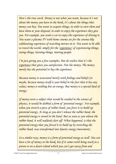*Here's the true catch. Money is not what you want, because it's not about the money you have in the bank. It's about the things that money can buy. You want to acquire things, in order to own them and have them at your disposal, in order to enjoy the experience they give you. For example, you want a car to enjoy the experience of driving it. You want a plasma TV with home cinema set for the cinema-like exhilarating experience of watching movies on it. You want to be able to travel the world, simply for the 'experience' of experiencing things, seeing things, learning things, meeting people.* 

*I'm just giving you a few examples. But do realize that it's the experience that gives you satisfaction. Not the money. The money merely has the potential to buy the experience.* 

*Because money is associated merely with feelings and beliefs (or maybe, because money itself is your belief in the fact that it has any value), money is nothing but an energy. But money is a special kind of energy.* 

*If money were a subject that would be studied in the science of physics, it would be dubbed a form of 'potential energy'. For example, when you stretch a piece of rubber band, you force it to build up potential energy. As long as you don't release the rubber band, the potential energy is stored in the band. But as soon as you release the rubber band, it will suddenly dart off. What happened, is that the potential energy that you forced it to build up by stretching the rubber band, was transformed into kinetic energy (movement).* 

*In a similar way, money is a form of potential energy as well. You can have a lot of money in the bank, but if it comes with being stuck in a prison or on a desert island which you can't get away from and*

© 2007 Crack Your Egg Enterprises  $\mathscr{Q}$  example the http://www.Revolutioniz.com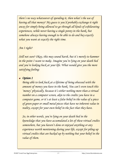*there's no way whatsoever of spending it, then what's the use of having all that money? My guess is you'd probably exchange it right away for simply being allowed to go through all kinds of exhilarating experiences, while never having a single penny in the bank, but somehow always having enough to be able to do and buy exactly what you want at exactly the right time.* 

## *Am I right?*

*Still not sure? Okay, this may sound harsh, but it's merely to hammer in the point I want to make. Imagine you're lying on your death bed and you're looking back at your life. What would give you the more satisfying feeling:* 

## *Option 1*

*Being able to look back at a lifetime of being obsessed with the amount of money you have in the bank. You can't even touch this 'money' physically, because it's either nothing more than a virtual number on a computer screen, akin to the credits you have in a computer game, or it's at least a false belief in the value of a piece of green paper or small metal pieces that have no inherent value in reality, except for your own belief in the fact that they have.* 

*So, in other words, you're lying on your death bed in the knowledge that you have accumulated a lot of these virtual credits somewhere, but you haven't done or enjoyed anything or any experience worth mentioning during your life, except for piling up virtual credits that are backed up by nothing but your belief in the value of them.* 

© 2007 Crack Your Egg Enterprises  $23$  extending the http://www.Revolutioniz.com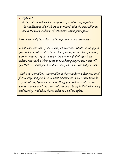## *Option 2*

*Being able to look back at a life full of exhilarating experiences, the recollections of which are so profound, that the mere thinking about them sends shivers of excitement down your spine?* 

 *I truly, sincerely hope that you'd prefer the second alternative.* 

 *If not, consider this. If what was just described still doesn't apply to you, and you just want to have a lot of money in your bank account, without having any desire to go through any kind of experience whatsoever (such a life is going to be a boring experience, I can tell you that…), while you're still not satisfied, then I can tell you this:* 

 *capable of supplying you with anything you need or want. In other You've got a problem. Your problem is that you have a desperate need for security, and you have no trust whatsoever in the Universe to be words, you operate from a state of fear and a belief in limitation, lack and scarcity. And thus, that is what you will manifest.*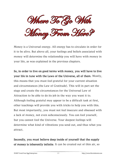Where To Go Wah Oney From Her

Money is a Universal energy. All energy has to circulate in order for it to be alive. But above all, your feelings and beliefs associated with money will determine the relationship you will have with money in your life, as was explained in the previous chapters.

So, in order to live on good terms with money, you will have to live your life in tune with the Laws of the Universe, all of them. Mostly, this means that you must feel grateful for your current situation and circumstances (the Law of Gratitude). This will in part set the stage and create the circumstances for the Universal Law of Attraction to be able to do its job in the way you want it to. Although feeling grateful may appear to be a difficult task at first, other teachings will provide you with tricks to help you with this. But most importantly, you must not feel insecure and obsessed with a lack of money, not even subconsciously. You can fool yourself, but you cannot fool the Universe. Your deepest feelings will determine what kind of vibrations you send out, and thus what you attract.

Secondly, you must believe deep inside of yourself that the supply of money is inherently infinite. It can be created out of thin air, so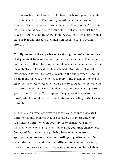it is impossible that there is a lack. Read this book again to engrain this principle deeply. Therefore, you will never be a burden to someone else when you acquire large amounts of money. Still, your intention should never be to accumulate it obsessively, just for the sake of it. As you should know by now, that intention stems from a state of fear and insecurity, which will block your 'attraction efforts'.

Thirdly, focus on the experience of enjoying the product or service that you want to have. Do not obsess over the money. The money does not exist. It is a form of potential energy that can be exchanged (or metaphysically speaking, transformed into) into a 'physical experience' that you can enjoy, which in the end is what it should be all about for you. The money is merely the means to the end of enjoying the experience. When you want to control the money, you want to control the means in which the experience is brought to you by the Universe. That implies that you want to control the 'how', which should be left to the Universe according to the Law of Attraction.

And finally, an excellent way to change your feelings associated with money into feelings that are conducive to improving your relationship with money in your life, is to change your inner dialogue when exchanging it. In this regard, you must change your feelings of fear (which you probably have when you are still approaching money as an end) into feelings of gratitude, in order to tune into the Universal Law of Gratitude. You can do this simply by treating money as a means of expressing appreciation for whatever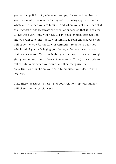you exchange it for. So, whenever you pay for something, back up your payment process with feelings of expressing appreciation for whatever it is that you are buying. And when you get a bill, see that as a request for appreciating the product or service that it is related to. Do this every time you need to pay (read: express appreciation), and you will tune into the Law of Gratitude soon enough. And you will pave the way for the Law of Attraction to do its job for you, which, mind you, is bringing you the *experiences* you want, and that is *not necessarily* through giving you money. It *can* be through giving you money, but it does not have to be. Your job is simply to tell the Universe what you want, and then recognize the opportunities brought on your path to manifest your desires into 'reality'.

Take these measures to heart, and your relationship with money will change in incredible ways.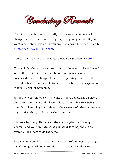

The Great Revolution is currently recruiting new members to change their lives into something surpassing imagination. If you want more information or if you are considering to join, then go to http://www.Revolutioniz.com.

You can also follow the Great Revolution on Squidoo at [here.](http://www.squidoo.com/revolutioniz)

To conclude, there is one more issue that deserves to be addressed. When they first join the Great Revolution, many people are concerned that the change of focus to improving their own life instead of being humble and effacing themselves at the expense of others is a sign of egomania.

Without exception, every single one of these people has a sincere desire to make the world a better place. They think that being humble and effacing themselves at the expense of others is the way to go. But nothing could be further from the truth.

# The way to change the world into a better place is to change yourself and your life into what you want it to be, and set an example for others to do the same.

By changing your life into something of a profoundness that beggars belief, you give others material proof that they can do it too.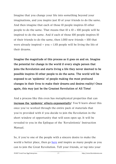Imagine that you change your life into something beyond your imaginations, and you inspire just 10 of your friends to do the same. And then imagine that each of those 10 people inspires 10 other people to do the same. That means that  $10 \times 10 = 100$  people will be inspired to do the same. And if each of those 100 people inspires 10 of their friends to do the same, then 1.000 new friends + 100 that were already inspired  $+$  you  $=$  1.101 people will be living the life of their dreams.

Imagine the magnitude of this process as it goes on and on. Imagine the potential for change in the world if every single person that joins the Revolution and starts living a life they never deemed to be possible inspires 10 other people to do the same. The world will be exposed to an 'epidemic' of people making the most profound changes in their lives to make their dreams and desires reality! Once again, this may just be the Greatest Revolution of All Time!

And a process like this even has metaphysical properties that can increase the 'epidemic' effects exponentially! You'll learn about this once you've worked through the entire pack of materials that you're provided with if you decide to join the Revolution in the short window of opportunity that will soon open up. It will be revealed to you in the Epilogue of the 'Revulotioniz' Instruction Manual.

So, if you're one of the people with a sincere desire to make the world a better place, then go [here](http://www.revolutioniz.com/recommends/tellyourfriends) and inspire as many people as you can to join the Great Revolution. Tell your friends, or tap into your